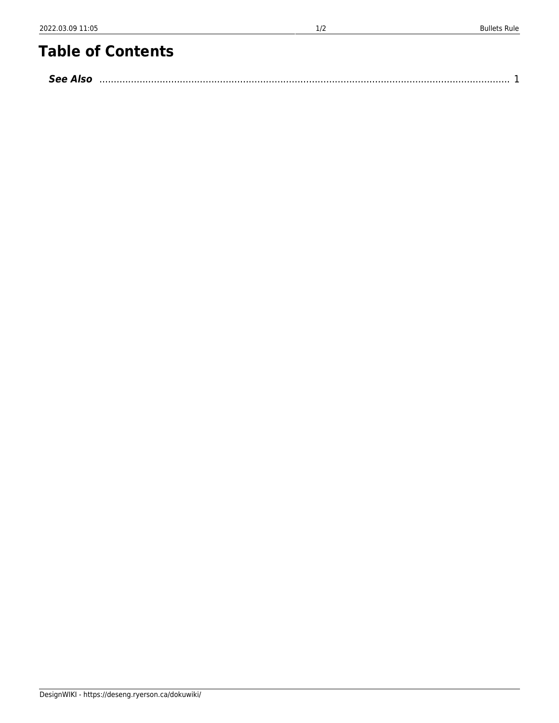## **Table of Contents**

| <b>See Also</b> |  |  |
|-----------------|--|--|
|-----------------|--|--|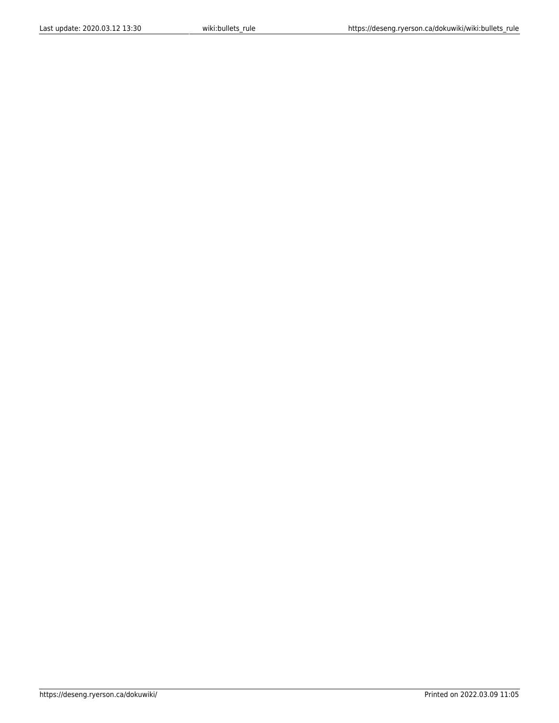https://deseng.ryerson.ca/dokuwiki/ Printed on 2022.03.09 11:05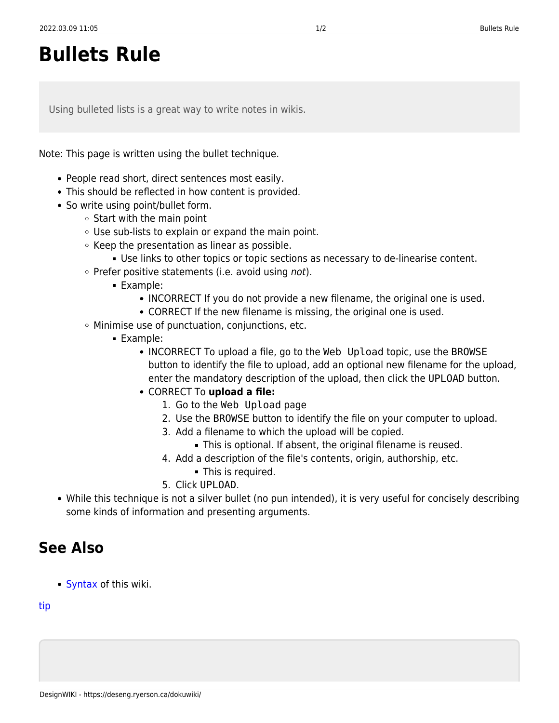## **Bullets Rule**

Using bulleted lists is a great way to write notes in wikis.

Note: This page is written using the bullet technique.

- People read short, direct sentences most easily.
- This should be reflected in how content is provided.
- So write using point/bullet form.
	- $\circ$  Start with the main point
	- Use sub-lists to explain or expand the main point.
	- $\circ$  Keep the presentation as linear as possible.
		- Use links to other topics or topic sections as necessary to de-linearise content.
	- $\circ$  Prefer positive statements (i.e. avoid using not).
		- **Example:** 
			- INCORRECT If you do not provide a new filename, the original one is used.
			- CORRECT If the new filename is missing, the original one is used.
	- $\circ$  Minimise use of punctuation, conjunctions, etc.
		- Example:
			- INCORRECT To upload a file, go to the Web Upload topic, use the BROWSE button to identify the file to upload, add an optional new filename for the upload, enter the mandatory description of the upload, then click the UPLOAD button.
			- CORRECT To **upload a file:**
				- 1. Go to the Web Upload page
				- 2. Use the BROWSE button to identify the file on your computer to upload.
				- 3. Add a filename to which the upload will be copied.
					- This is optional. If absent, the original filename is reused.
				- 4. Add a description of the file's contents, origin, authorship, etc.
					- This is required.
				- 5. Click UPLOAD.
- While this technique is not a silver bullet (no pun intended), it is very useful for concisely describing some kinds of information and presenting arguments.

## <span id="page-2-0"></span>**See Also**

• [Syntax](https://deseng.ryerson.ca/dokuwiki/wiki:syntax) of this wiki.

[tip](https://deseng.ryerson.ca/dokuwiki/tag:tip?do=showtag&tag=tip)